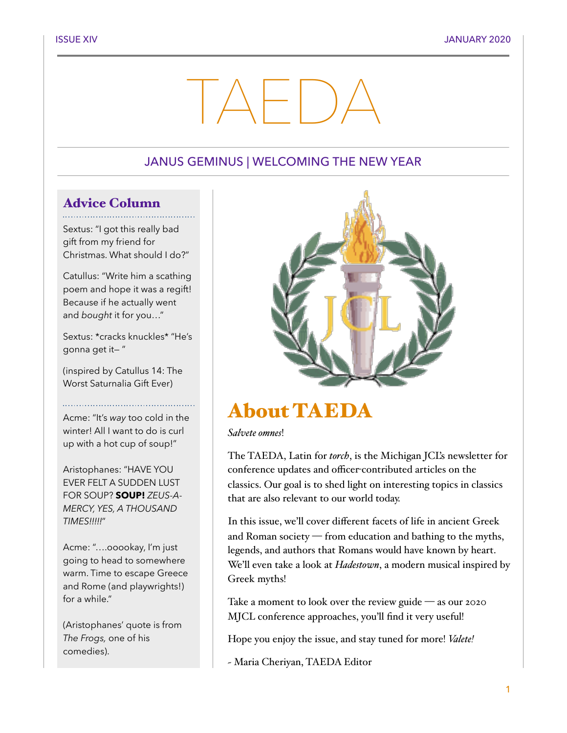# TAEDA

#### JANUS GEMINUS | WELCOMING THE NEW YEAR

#### Advice Column

Sextus: "I got this really bad gift from my friend for Christmas. What should I do?"

Catullus: "Write him a scathing poem and hope it was a regift! Because if he actually went and *bought* it for you…"

Sextus: \*cracks knuckles\* "He's gonna get it— "

(inspired by Catullus 14: The Worst Saturnalia Gift Ever)

Acme: "It's *way* too cold in the winter! All I want to do is curl up with a hot cup of soup!"

Aristophanes: "HAVE YOU EVER FELT A SUDDEN LUST FOR SOUP? **SOUP!** *ZEUS-A-MERCY, YES, A THOUSAND TIMES!!!!!*"

Acme: "….ooookay, I'm just going to head to somewhere warm. Time to escape Greece and Rome (and playwrights!) for a while."

(Aristophanes' quote is from *The Frogs,* one of his comedies).



# About TAEDA

*Salvete omnes*!

The TAEDA, Latin for *torch*, is the Michigan JCL's newsletter for conference updates and officer-contributed articles on the classics. Our goal is to shed light on interesting topics in classics that are also relevant to our world today.

In this issue, we'll cover different facets of life in ancient Greek and Roman society — from education and bathing to the myths, legends, and authors that Romans would have known by heart. We'll even take a look at *Hadestown*, a modern musical inspired by Greek myths!

Take a moment to look over the review guide — as our 2020 MJCL conference approaches, you'll find it very useful!

Hope you enjoy the issue, and stay tuned for more! *Valete!*

~ Maria Cheriyan, TAEDA Editor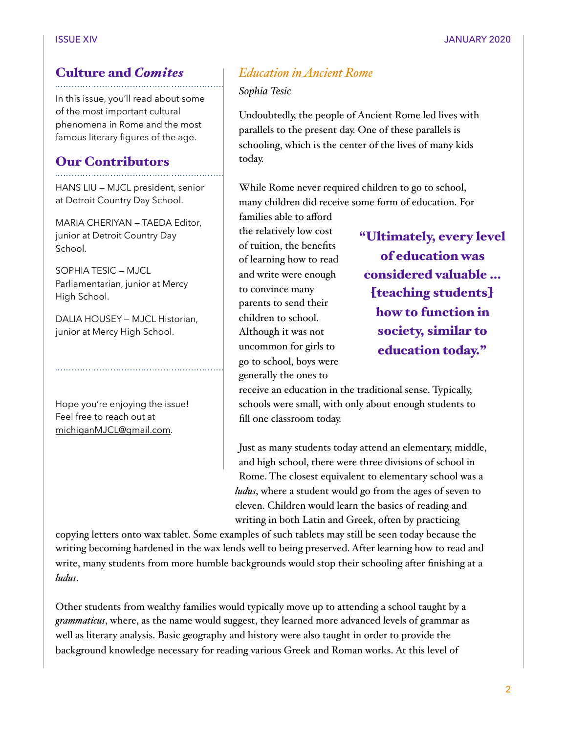### Culture and *Comites*

In this issue, you'll read about some of the most important cultural phenomena in Rome and the most famous literary figures of the age.

#### Our Contributors

HANS LIU — MJCL president, senior at Detroit Country Day School.

MARIA CHERIYAN — TAEDA Editor, junior at Detroit Country Day School.

SOPHIA TESIC — MJCL Parliamentarian, junior at Mercy High School.

DALIA HOUSEY — MJCL Historian, junior at Mercy High School.

Hope you're enjoying the issue! Feel free to reach out at [michiganMJCL@gmail.com](mailto:michiganMJCL@gmail.com).

#### *Education in Ancient Rome*

*Sophia Tesic* 

Undoubtedly, the people of Ancient Rome led lives with parallels to the present day. One of these parallels is schooling, which is the center of the lives of many kids today.

While Rome never required children to go to school, many children did receive some form of education. For

families able to afford the relatively low cost of tuition, the benefits of learning how to read and write were enough to convince many parents to send their children to school. Although it was not uncommon for girls to go to school, boys were generally the ones to

"Ultimately, every level of education was considered valuable … [teaching students] how to function in society, similar to education today."

receive an education in the traditional sense. Typically, schools were small, with only about enough students to fill one classroom today.

Just as many students today attend an elementary, middle, and high school, there were three divisions of school in Rome. The closest equivalent to elementary school was a *ludus*, where a student would go from the ages of seven to eleven. Children would learn the basics of reading and writing in both Latin and Greek, often by practicing

copying letters onto wax tablet. Some examples of such tablets may still be seen today because the writing becoming hardened in the wax lends well to being preserved. After learning how to read and write, many students from more humble backgrounds would stop their schooling after finishing at a *ludus*.

Other students from wealthy families would typically move up to attending a school taught by a *grammaticus*, where, as the name would suggest, they learned more advanced levels of grammar as well as literary analysis. Basic geography and history were also taught in order to provide the background knowledge necessary for reading various Greek and Roman works. At this level of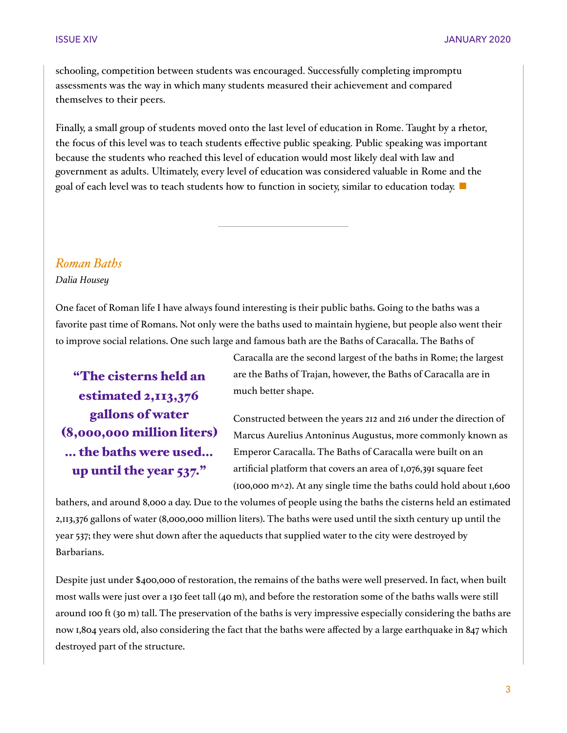schooling, competition between students was encouraged. Successfully completing impromptu assessments was the way in which many students measured their achievement and compared themselves to their peers.

Finally, a small group of students moved onto the last level of education in Rome. Taught by a rhetor, the focus of this level was to teach students effective public speaking. Public speaking was important because the students who reached this level of education would most likely deal with law and government as adults. Ultimately, every level of education was considered valuable in Rome and the goal of each level was to teach students how to function in society, similar to education today. ■

#### *Roman Baths*

*Dalia Housey* 

One facet of Roman life I have always found interesting is their public baths. Going to the baths was a favorite past time of Romans. Not only were the baths used to maintain hygiene, but people also went their to improve social relations. One such large and famous bath are the Baths of Caracalla. The Baths of

"The cisterns held an estimated 2,113,376 gallons of water (8,000,000 million liters) … the baths were used… up until the year 537."

Caracalla are the second largest of the baths in Rome; the largest are the Baths of Trajan, however, the Baths of Caracalla are in much better shape.

Constructed between the years 212 and 216 under the direction of Marcus Aurelius Antoninus Augustus, more commonly known as Emperor Caracalla. The Baths of Caracalla were built on an artificial platform that covers an area of 1,076,391 square feet  $(100,000 \text{ m} \wedge 2)$ . At any single time the baths could hold about 1,600

bathers, and around 8,000 a day. Due to the volumes of people using the baths the cisterns held an estimated 2,113,376 gallons of water (8,000,000 million liters). The baths were used until the sixth century up until the year 537; they were shut down after the aqueducts that supplied water to the city were destroyed by Barbarians.

Despite just under \$400,000 of restoration, the remains of the baths were well preserved. In fact, when built most walls were just over a 130 feet tall (40 m), and before the restoration some of the baths walls were still around 100 ft (30 m) tall. The preservation of the baths is very impressive especially considering the baths are now 1,804 years old, also considering the fact that the baths were affected by a large earthquake in 847 which destroyed part of the structure.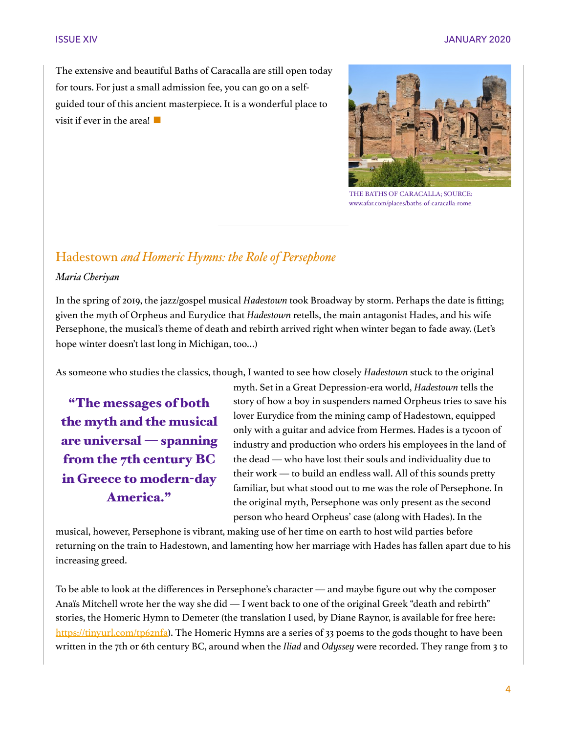The extensive and beautiful Baths of Caracalla are still open today for tours. For just a small admission fee, you can go on a selfguided tour of this ancient masterpiece. It is a wonderful place to visit if ever in the area!  $\blacksquare$ 



THE BATHS OF CARACALLA; SOURCE: [www.afar.com/places/baths](http://www.afar.com/places/baths-of-caracalla-rome)-of-caracalla-rome

#### Hadestown *and Homeric Hymns: the Role of Persephone*

#### *Maria Cheriyan*

In the spring of 2019, the jazz/gospel musical *Hadestown* took Broadway by storm. Perhaps the date is fitting; given the myth of Orpheus and Eurydice that *Hadestown* retells, the main antagonist Hades, and his wife Persephone, the musical's theme of death and rebirth arrived right when winter began to fade away. (Let's hope winter doesn't last long in Michigan, too…)

As someone who studies the classics, though, I wanted to see how closely *Hadestown* stuck to the original

"The messages of both the myth and the musical are universal — spanning from the 7th century BC in Greece to modern-day America."

myth. Set in a Great Depression-era world, *Hadestown* tells the story of how a boy in suspenders named Orpheus tries to save his lover Eurydice from the mining camp of Hadestown, equipped only with a guitar and advice from Hermes. Hades is a tycoon of industry and production who orders his employees in the land of the dead — who have lost their souls and individuality due to their work — to build an endless wall. All of this sounds pretty familiar, but what stood out to me was the role of Persephone. In the original myth, Persephone was only present as the second person who heard Orpheus' case (along with Hades). In the

musical, however, Persephone is vibrant, making use of her time on earth to host wild parties before returning on the train to Hadestown, and lamenting how her marriage with Hades has fallen apart due to his increasing greed.

To be able to look at the differences in Persephone's character — and maybe figure out why the composer Anaïs Mitchell wrote her the way she did — I went back to one of the original Greek "death and rebirth" stories, the Homeric Hymn to Demeter (the translation I used, by Diane Raynor, is available for free here: <https://tinyurl.com/tp62nfa>). The Homeric Hymns are a series of 33 poems to the gods thought to have been written in the 7th or 6th century BC, around when the *Iliad* and *Odyssey* were recorded. They range from 3 to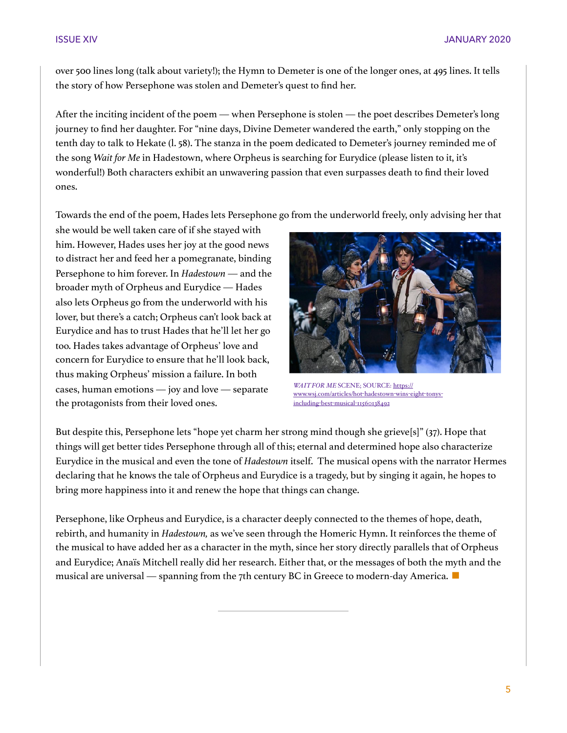over 500 lines long (talk about variety!); the Hymn to Demeter is one of the longer ones, at 495 lines. It tells the story of how Persephone was stolen and Demeter's quest to find her.

After the inciting incident of the poem — when Persephone is stolen — the poet describes Demeter's long journey to find her daughter. For "nine days, Divine Demeter wandered the earth," only stopping on the tenth day to talk to Hekate (l. 58). The stanza in the poem dedicated to Demeter's journey reminded me of the song *Wait for Me* in Hadestown, where Orpheus is searching for Eurydice (please listen to it, it's wonderful!) Both characters exhibit an unwavering passion that even surpasses death to find their loved ones.

Towards the end of the poem, Hades lets Persephone go from the underworld freely, only advising her that

she would be well taken care of if she stayed with him. However, Hades uses her joy at the good news to distract her and feed her a pomegranate, binding Persephone to him forever. In *Hadestown* — and the broader myth of Orpheus and Eurydice — Hades also lets Orpheus go from the underworld with his lover, but there's a catch; Orpheus can't look back at Eurydice and has to trust Hades that he'll let her go too. Hades takes advantage of Orpheus' love and concern for Eurydice to ensure that he'll look back, thus making Orpheus' mission a failure. In both cases, human emotions — joy and love — separate the protagonists from their loved ones.



*WAIT FOR ME* SCENE; SOURCE: [https://](https://www.wsj.com/articles/hot-hadestown-wins-eight-tonys-including-best-musical-11560138492) [www.wsj.com/articles/hot](https://www.wsj.com/articles/hot-hadestown-wins-eight-tonys-including-best-musical-11560138492)-hadestown-wins-eight-tonysincluding-best-musical-[11560138492](https://www.wsj.com/articles/hot-hadestown-wins-eight-tonys-including-best-musical-11560138492)

But despite this, Persephone lets "hope yet charm her strong mind though she grieve[s]" (37). Hope that things will get better tides Persephone through all of this; eternal and determined hope also characterize Eurydice in the musical and even the tone of *Hadestown* itself. The musical opens with the narrator Hermes declaring that he knows the tale of Orpheus and Eurydice is a tragedy, but by singing it again, he hopes to bring more happiness into it and renew the hope that things can change.

Persephone, like Orpheus and Eurydice, is a character deeply connected to the themes of hope, death, rebirth, and humanity in *Hadestown,* as we've seen through the Homeric Hymn. It reinforces the theme of the musical to have added her as a character in the myth, since her story directly parallels that of Orpheus and Eurydice; Anaïs Mitchell really did her research. Either that, or the messages of both the myth and the musical are universal — spanning from the 7th century BC in Greece to modern-day America.  $\blacksquare$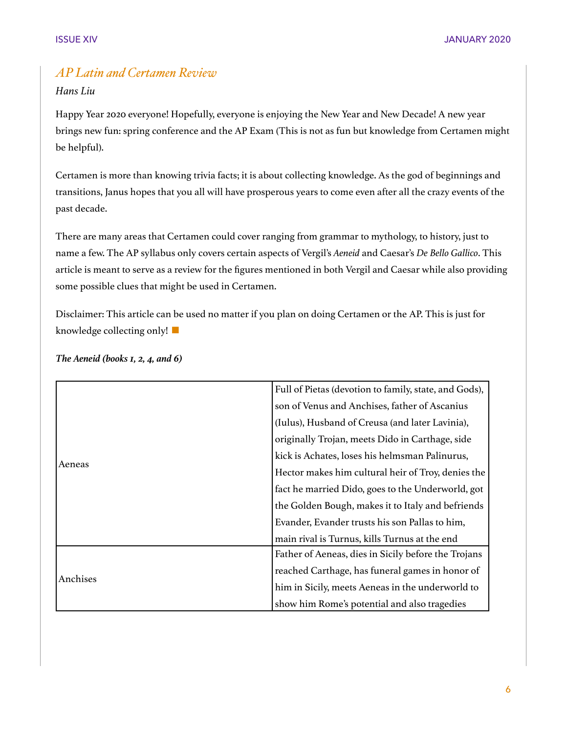#### *AP Latin and Certamen Review*

#### *Hans Liu*

Happy Year 2020 everyone! Hopefully, everyone is enjoying the New Year and New Decade! A new year brings new fun: spring conference and the AP Exam (This is not as fun but knowledge from Certamen might be helpful).

Certamen is more than knowing trivia facts; it is about collecting knowledge. As the god of beginnings and transitions, Janus hopes that you all will have prosperous years to come even after all the crazy events of the past decade.

There are many areas that Certamen could cover ranging from grammar to mythology, to history, just to name a few. The AP syllabus only covers certain aspects of Vergil's *Aeneid* and Caesar's *De Bello Gallico*. This article is meant to serve as a review for the figures mentioned in both Vergil and Caesar while also providing some possible clues that might be used in Certamen.

Disclaimer: This article can be used no matter if you plan on doing Certamen or the AP. This is just for knowledge collecting only!  $\blacksquare$ 

|          | Full of Pietas (devotion to family, state, and Gods), |
|----------|-------------------------------------------------------|
| Aeneas   | son of Venus and Anchises, father of Ascanius         |
|          | (Iulus), Husband of Creusa (and later Lavinia),       |
|          | originally Trojan, meets Dido in Carthage, side       |
|          | kick is Achates, loses his helmsman Palinurus,        |
|          | Hector makes him cultural heir of Troy, denies the    |
|          | fact he married Dido, goes to the Underworld, got     |
|          | the Golden Bough, makes it to Italy and befriends     |
|          | Evander, Evander trusts his son Pallas to him,        |
|          | main rival is Turnus, kills Turnus at the end         |
| Anchises | Father of Aeneas, dies in Sicily before the Trojans   |
|          | reached Carthage, has funeral games in honor of       |
|          | him in Sicily, meets Aeneas in the underworld to      |
|          | show him Rome's potential and also tragedies          |

*The Aeneid (books 1, 2, 4, and 6)*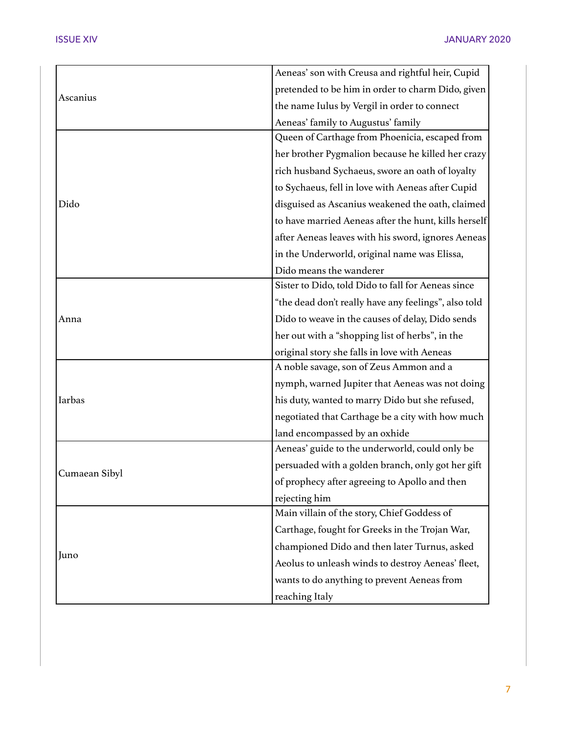| Ascanius      | Aeneas' son with Creusa and rightful heir, Cupid     |
|---------------|------------------------------------------------------|
|               | pretended to be him in order to charm Dido, given    |
|               | the name Iulus by Vergil in order to connect         |
|               | Aeneas' family to Augustus' family                   |
|               | Queen of Carthage from Phoenicia, escaped from       |
|               | her brother Pygmalion because he killed her crazy    |
|               | rich husband Sychaeus, swore an oath of loyalty      |
|               | to Sychaeus, fell in love with Aeneas after Cupid    |
| Dido          | disguised as Ascanius weakened the oath, claimed     |
|               | to have married Aeneas after the hunt, kills herself |
|               | after Aeneas leaves with his sword, ignores Aeneas   |
|               | in the Underworld, original name was Elissa,         |
|               | Dido means the wanderer                              |
|               | Sister to Dido, told Dido to fall for Aeneas since   |
|               | "the dead don't really have any feelings", also told |
| Anna          | Dido to weave in the causes of delay, Dido sends     |
|               | her out with a "shopping list of herbs", in the      |
|               | original story she falls in love with Aeneas         |
| Iarbas        | A noble savage, son of Zeus Ammon and a              |
|               | nymph, warned Jupiter that Aeneas was not doing      |
|               | his duty, wanted to marry Dido but she refused,      |
|               | negotiated that Carthage be a city with how much     |
|               | land encompassed by an oxhide                        |
| Cumaean Sibyl | Aeneas' guide to the underworld, could only be       |
|               | persuaded with a golden branch, only got her gift    |
|               | of prophecy after agreeing to Apollo and then        |
|               | rejecting him                                        |
| Juno          | Main villain of the story, Chief Goddess of          |
|               | Carthage, fought for Greeks in the Trojan War,       |
|               | championed Dido and then later Turnus, asked         |
|               | Aeolus to unleash winds to destroy Aeneas' fleet,    |
|               | wants to do anything to prevent Aeneas from          |
|               | reaching Italy                                       |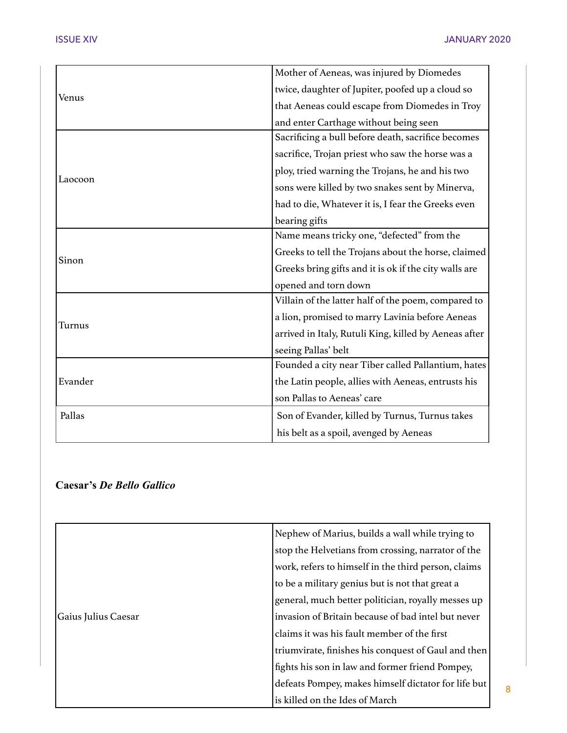8

| Venus   | Mother of Aeneas, was injured by Diomedes             |
|---------|-------------------------------------------------------|
|         | twice, daughter of Jupiter, poofed up a cloud so      |
|         | that Aeneas could escape from Diomedes in Troy        |
|         | and enter Carthage without being seen                 |
| Laocoon | Sacrificing a bull before death, sacrifice becomes    |
|         | sacrifice, Trojan priest who saw the horse was a      |
|         | ploy, tried warning the Trojans, he and his two       |
|         | sons were killed by two snakes sent by Minerva,       |
|         | had to die, Whatever it is, I fear the Greeks even    |
|         | bearing gifts                                         |
|         | Name means tricky one, "defected" from the            |
| Sinon   | Greeks to tell the Trojans about the horse, claimed   |
|         | Greeks bring gifts and it is ok if the city walls are |
|         | opened and torn down                                  |
| Turnus  | Villain of the latter half of the poem, compared to   |
|         | a lion, promised to marry Lavinia before Aeneas       |
|         | arrived in Italy, Rutuli King, killed by Aeneas after |
|         | seeing Pallas' belt                                   |
| Evander | Founded a city near Tiber called Pallantium, hates    |
|         | the Latin people, allies with Aeneas, entrusts his    |
|         | son Pallas to Aeneas' care                            |
| Pallas  | Son of Evander, killed by Turnus, Turnus takes        |
|         | his belt as a spoil, avenged by Aeneas                |

#### **Caesar's** *De Bello Gallico*

|                     | Nephew of Marius, builds a wall while trying to     |
|---------------------|-----------------------------------------------------|
|                     | stop the Helvetians from crossing, narrator of the  |
|                     | work, refers to himself in the third person, claims |
|                     | to be a military genius but is not that great a     |
|                     | general, much better politician, royally messes up  |
| Gaius Julius Caesar | invasion of Britain because of bad intel but never  |
|                     | claims it was his fault member of the first         |
|                     | triumvirate, finishes his conquest of Gaul and then |
|                     | fights his son in law and former friend Pompey,     |
|                     | defeats Pompey, makes himself dictator for life but |
|                     | is killed on the Ides of March                      |